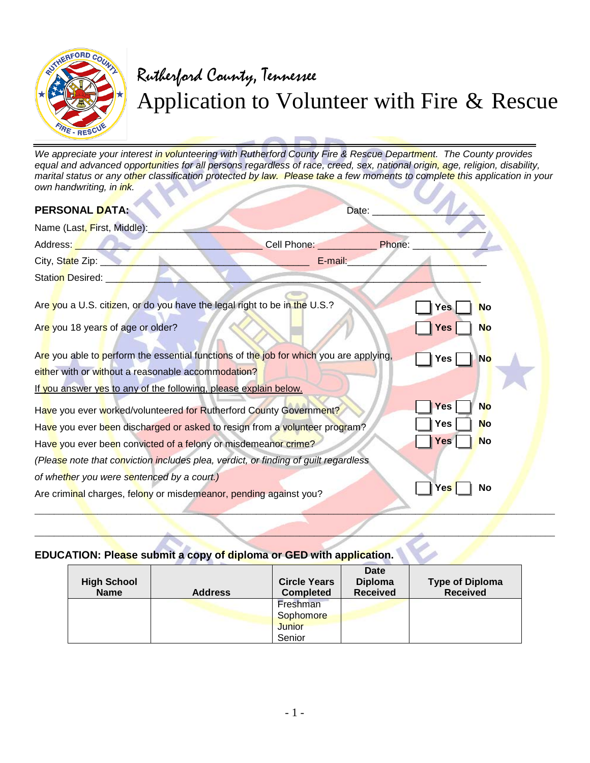

## Rutherford County, Tennessee Application to Volunteer with Fire & Rescue

*We appreciate your interest in volunteering with Rutherford County Fire & Rescue Department. The County provides equal and advanced opportunities for all persons regardless of race, creed, sex, national origin, age, religion, disability, marital status or any other classification protected by law. Please take a few moments to complete this application in your own handwriting, in ink.*   $\mathcal{L}$ o.

| <b>PERSONAL DATA:</b>                                                                                                                                                                                            | Date:              |            |           |
|------------------------------------------------------------------------------------------------------------------------------------------------------------------------------------------------------------------|--------------------|------------|-----------|
| Name (Last, First, Middle):                                                                                                                                                                                      |                    |            |           |
| Address: <b>Address:</b>                                                                                                                                                                                         | Cell Phone: Phone: |            |           |
| City, State Zip: __                                                                                                                                                                                              | E-mail:            |            |           |
| Station Desired:                                                                                                                                                                                                 |                    |            |           |
| Are you a U.S. citizen, or do you have the legal right to be in the U.S.?                                                                                                                                        |                    | <b>Yes</b> | <b>No</b> |
| Are you 18 years of age or older?                                                                                                                                                                                |                    | Yes        | <b>No</b> |
| Are you able to perform the essential functions of the job for which you are applying,<br>either with or without a reasonable accommodation?<br>If you answer yes to any of the following, please explain below. |                    | Yes        | <b>No</b> |
| Have you ever worked/volunteered for Rutherford County Government?                                                                                                                                               |                    | Yes        | <b>No</b> |
| Have you ever been discharged or asked to resign from a volunteer program?                                                                                                                                       |                    | Yes        | No        |
| Have you ever been convicted of a felony or misdemeanor crime?                                                                                                                                                   |                    | Yes        | <b>No</b> |
| (Please note that conviction includes plea, verdict, or finding of guilt regardless                                                                                                                              |                    |            |           |
| of whether you were sentenced by a court.)                                                                                                                                                                       |                    |            |           |
| Are criminal charges, felony or misdemeanor, pending against you?                                                                                                                                                |                    | Yes        | No        |

## **EDUCATION: Please submit a copy of diploma or GED with application.**

| <b>High School</b><br><b>Name</b> | <b>Address</b> | <b>Circle Years</b><br><b>Completed</b> | <b>Date</b><br><b>Diploma</b><br><b>Received</b> | <b>Type of Diploma</b><br><b>Received</b> |
|-----------------------------------|----------------|-----------------------------------------|--------------------------------------------------|-------------------------------------------|
|                                   |                | Freshman                                |                                                  |                                           |
|                                   |                | Sophomore                               |                                                  |                                           |
|                                   |                | <b>Junior</b>                           |                                                  |                                           |
|                                   |                | Senior                                  |                                                  |                                           |

 $\mathcal{L}$  and the state of the state of the state of the state of the state of the state of the state of the state of the state of the state of the state of the state of the state of the state of the state of the state of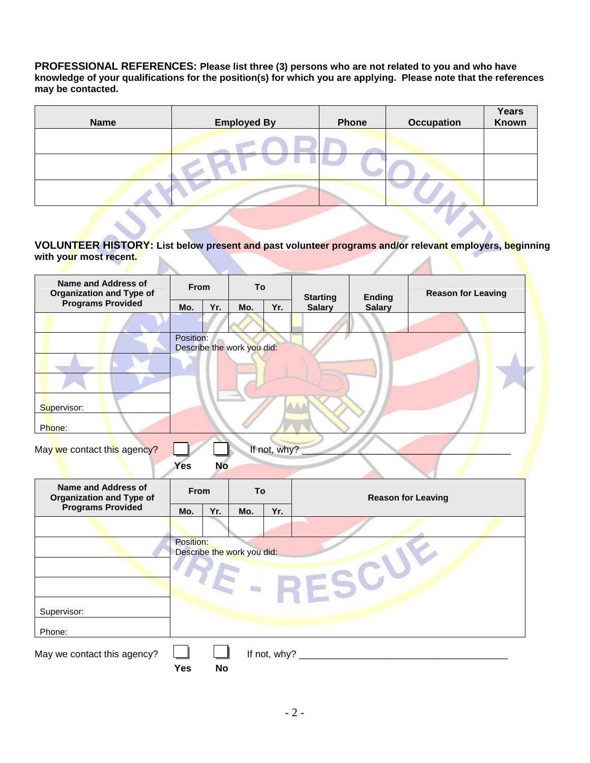**PROFESSIONAL REFERENCES: Please list three (3) persons who are not related to you and who have knowledge of your qualifications for the position(s) for which you are applying. Please note that the references may be contacted.**

| <b>Name</b> | <b>Employed By</b> | <b>Phone</b> | <b>Occupation</b> | Years<br>Known |
|-------------|--------------------|--------------|-------------------|----------------|
|             |                    |              |                   |                |
|             |                    |              |                   |                |
|             |                    |              |                   |                |

**VOLUNTEER HISTORY: List below present and past volunteer programs and/or relevant employers, beginning**  with your most recent.

| Name and Address of<br><b>Organization and Type of</b>                                    | <b>From</b>                     |           | To                         |              | <b>Starting</b><br><b>Ending</b> |               | <b>Reason for Leaving</b> |
|-------------------------------------------------------------------------------------------|---------------------------------|-----------|----------------------------|--------------|----------------------------------|---------------|---------------------------|
| <b>Programs Provided</b>                                                                  | Mo.                             | Yr.       | Mo.                        | Yr.          | <b>Salary</b>                    | <b>Salary</b> |                           |
|                                                                                           |                                 |           |                            |              |                                  |               |                           |
|                                                                                           | Position:                       |           | Describe the work you did: |              |                                  |               |                           |
| Supervisor:                                                                               |                                 |           |                            |              |                                  |               |                           |
| Phone:                                                                                    |                                 |           |                            |              |                                  |               |                           |
| May we contact this agency?                                                               |                                 |           |                            | If not, why? |                                  |               |                           |
|                                                                                           | Yes                             | <b>No</b> |                            |              |                                  |               |                           |
| <b>Name and Address of</b><br><b>Organization and Type of</b><br><b>Programs Provided</b> | To<br>From<br>Yr.<br>Mo.<br>Mo. | Yr.       | <b>Reason for Leaving</b>  |              |                                  |               |                           |
|                                                                                           |                                 |           |                            |              |                                  |               |                           |
|                                                                                           | Position:                       |           | Describe the work you did: |              | RESC                             |               |                           |
| Supervisor:                                                                               |                                 |           |                            |              |                                  |               |                           |
| Phone:                                                                                    |                                 |           |                            |              |                                  |               |                           |
| May we contact this agency?                                                               |                                 |           |                            |              |                                  |               |                           |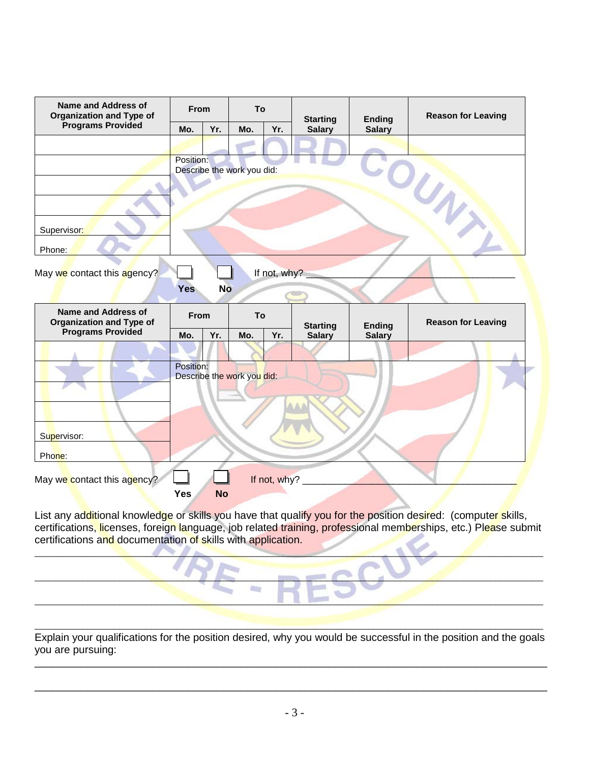| <b>Name and Address of</b><br><b>Organization and Type of</b>                             | From      |           | To                         |              | <b>Starting</b> | <b>Ending</b> | <b>Reason for Leaving</b> |
|-------------------------------------------------------------------------------------------|-----------|-----------|----------------------------|--------------|-----------------|---------------|---------------------------|
| <b>Programs Provided</b>                                                                  | Mo.       | Yr.       | Mo.                        | Yr.          | <b>Salary</b>   | <b>Salary</b> |                           |
|                                                                                           |           |           |                            |              |                 |               |                           |
|                                                                                           | Position: |           | Describe the work you did: |              |                 |               | COUNTY                    |
| Supervisor:<br>Phone:                                                                     |           |           |                            |              |                 |               |                           |
| May we contact this agency?                                                               | Yes       | <b>No</b> |                            | If not, why? |                 |               |                           |
| <b>Name and Address of</b><br><b>Organization and Type of</b><br><b>Programs Provided</b> | From      |           | To                         |              | <b>Starting</b> | <b>Ending</b> | <b>Reason for Leaving</b> |
|                                                                                           | Mo.       | Yr.       | Mo.                        | Yr.          | <b>Salary</b>   | <b>Salary</b> |                           |
| Supervisor:<br>Phone:                                                                     | Position: |           | Describe the work you did: |              |                 |               |                           |
|                                                                                           |           |           |                            |              |                 |               |                           |

List any ad<mark>dit</mark>ional knowled<mark>ge</mark> or skills you have that qualify you for the position desired: (compute<mark>r s</mark>kills, certifications<mark>, lic</mark>enses, foreign language, job related training, professional memberships, etc.) Pl<mark>ea</mark>se submit certifications and documentation of skills with application.

 $\blacksquare$ 

 $\Box$ 

a.

\_\_\_\_\_\_\_\_\_\_\_\_\_\_\_\_\_\_\_\_\_\_\_\_\_\_\_\_\_\_\_\_\_\_\_\_\_\_\_\_\_\_\_\_\_\_\_\_\_\_\_\_\_\_\_\_\_\_\_\_\_\_\_\_\_\_\_\_\_\_\_\_\_\_\_\_\_\_\_\_\_\_\_\_\_\_\_\_\_\_\_\_\_\_\_\_

\_\_\_\_\_\_\_\_\_\_\_\_\_\_\_\_\_\_\_\_\_\_\_\_\_\_\_\_\_\_\_\_\_\_\_\_\_\_\_\_\_\_\_\_\_\_\_\_\_\_\_\_\_\_\_\_\_\_\_\_\_\_\_\_\_\_\_\_\_\_\_\_\_\_\_\_\_\_\_\_\_\_\_\_\_\_\_\_\_\_\_\_\_\_\_\_ Explain your qualifications for the position desired, why you would be successful in the position and the goals you are pursuing:

\_\_\_\_\_\_\_\_\_\_\_\_\_\_\_\_\_\_\_\_\_\_\_\_\_\_\_\_\_\_\_\_\_\_\_\_\_\_\_\_\_\_\_\_\_\_\_\_\_\_\_\_\_\_\_\_\_\_\_\_\_\_\_\_\_\_\_\_\_\_\_\_\_\_\_\_\_\_\_\_\_\_\_\_\_\_\_

\_\_\_\_\_\_\_\_\_\_\_\_\_\_\_\_\_\_\_\_\_\_\_\_\_\_\_\_\_\_\_\_\_\_\_\_\_\_\_\_\_\_\_\_\_\_\_\_\_\_\_\_\_\_\_\_\_\_\_\_\_\_\_\_\_\_\_\_\_\_\_\_\_\_\_\_\_\_\_\_\_\_\_\_\_\_\_